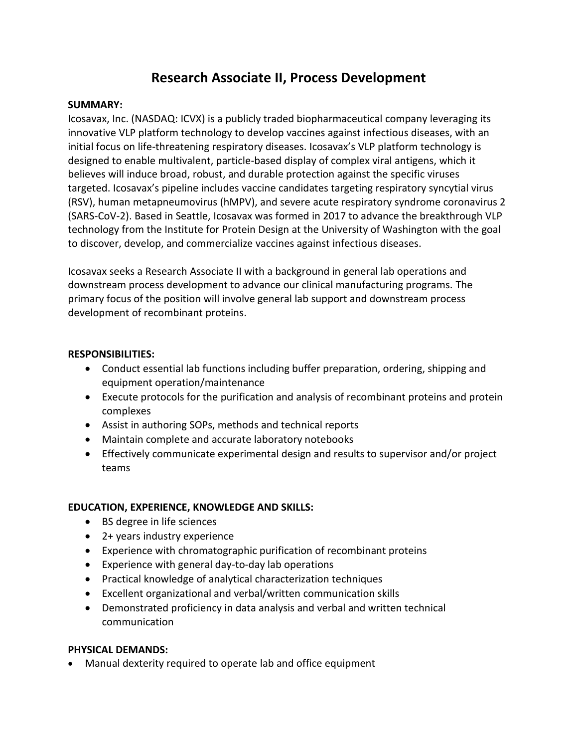# **Research Associate II, Process Development**

## **SUMMARY:**

Icosavax, Inc. (NASDAQ: ICVX) is a publicly traded biopharmaceutical company leveraging its innovative VLP platform technology to develop vaccines against infectious diseases, with an initial focus on life-threatening respiratory diseases. Icosavax's VLP platform technology is designed to enable multivalent, particle-based display of complex viral antigens, which it believes will induce broad, robust, and durable protection against the specific viruses targeted. Icosavax's pipeline includes vaccine candidates targeting respiratory syncytial virus (RSV), human metapneumovirus (hMPV), and severe acute respiratory syndrome coronavirus 2 (SARS-CoV-2). Based in Seattle, Icosavax was formed in 2017 to advance the breakthrough VLP technology from the Institute for Protein Design at the University of Washington with the goal to discover, develop, and commercialize vaccines against infectious diseases.

Icosavax seeks a Research Associate II with a background in general lab operations and downstream process development to advance our clinical manufacturing programs. The primary focus of the position will involve general lab support and downstream process development of recombinant proteins.

## **RESPONSIBILITIES:**

- Conduct essential lab functions including buffer preparation, ordering, shipping and equipment operation/maintenance
- Execute protocols for the purification and analysis of recombinant proteins and protein complexes
- Assist in authoring SOPs, methods and technical reports
- Maintain complete and accurate laboratory notebooks
- Effectively communicate experimental design and results to supervisor and/or project teams

## **EDUCATION, EXPERIENCE, KNOWLEDGE AND SKILLS:**

- BS degree in life sciences
- 2+ years industry experience
- Experience with chromatographic purification of recombinant proteins
- Experience with general day-to-day lab operations
- Practical knowledge of analytical characterization techniques
- Excellent organizational and verbal/written communication skills
- Demonstrated proficiency in data analysis and verbal and written technical communication

## **PHYSICAL DEMANDS:**

• Manual dexterity required to operate lab and office equipment